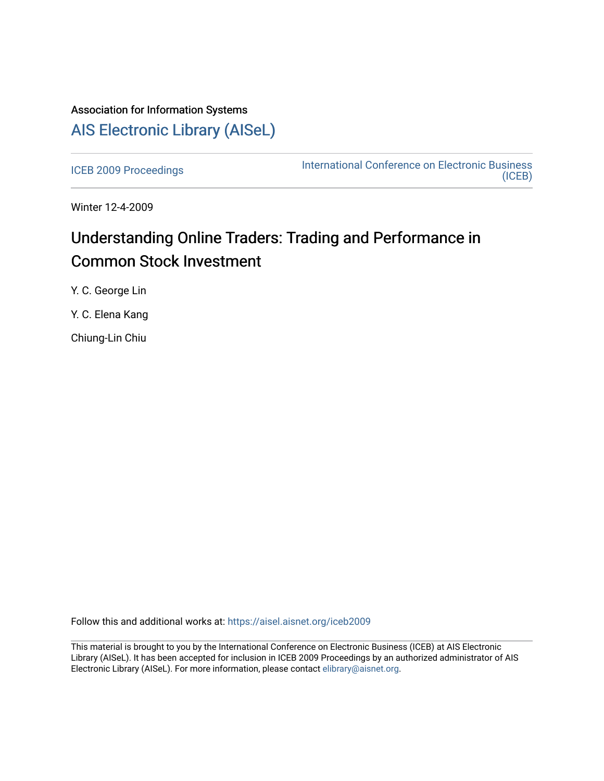# Association for Information Systems [AIS Electronic Library \(AISeL\)](https://aisel.aisnet.org/)

[ICEB 2009 Proceedings](https://aisel.aisnet.org/iceb2009) **International Conference on Electronic Business** [\(ICEB\)](https://aisel.aisnet.org/iceb) 

Winter 12-4-2009

# Understanding Online Traders: Trading and Performance in Common Stock Investment

Y. C. George Lin

Y. C. Elena Kang

Chiung-Lin Chiu

Follow this and additional works at: [https://aisel.aisnet.org/iceb2009](https://aisel.aisnet.org/iceb2009?utm_source=aisel.aisnet.org%2Ficeb2009%2F18&utm_medium=PDF&utm_campaign=PDFCoverPages)

This material is brought to you by the International Conference on Electronic Business (ICEB) at AIS Electronic Library (AISeL). It has been accepted for inclusion in ICEB 2009 Proceedings by an authorized administrator of AIS Electronic Library (AISeL). For more information, please contact [elibrary@aisnet.org.](mailto:elibrary@aisnet.org%3E)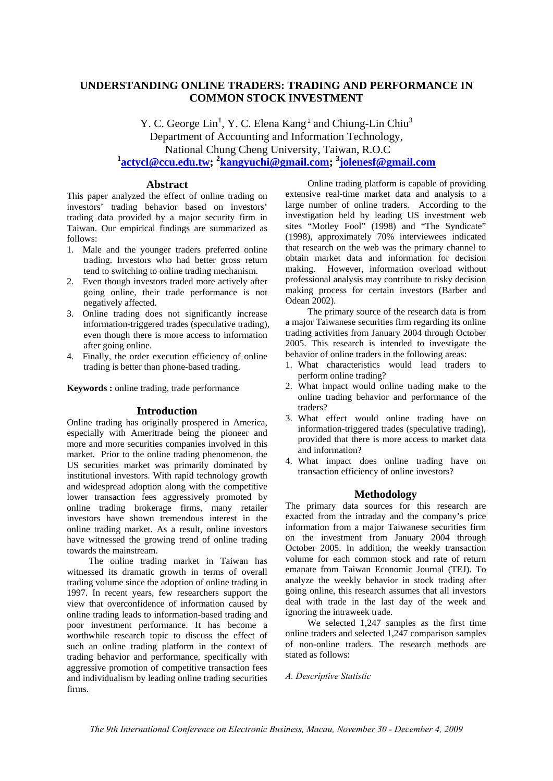## **UNDERSTANDING ONLINE TRADERS: TRADING AND PERFORMANCE IN COMMON STOCK INVESTMENT**

Y. C. George  $Lin<sup>1</sup>$ , Y. C. Elena Kang<sup>2</sup> and Chiung-Lin Chiu<sup>3</sup> Department of Accounting and Information Technology, National Chung Cheng University, Taiwan, R.O.C **1 actycl@ccu.edu.tw; 2 kangyuchi@gmail.com; 3 jolenesf@gmail.com**

#### **Abstract**

This paper analyzed the effect of online trading on investors' trading behavior based on investors' trading data provided by a major security firm in Taiwan. Our empirical findings are summarized as follows:

- 1. Male and the younger traders preferred online trading. Investors who had better gross return tend to switching to online trading mechanism.
- 2. Even though investors traded more actively after going online, their trade performance is not negatively affected.
- 3. Online trading does not significantly increase information-triggered trades (speculative trading), even though there is more access to information after going online.
- 4. Finally, the order execution efficiency of online trading is better than phone-based trading.

**Keywords :** online trading, trade performance

#### **Introduction**

Online trading has originally prospered in America, especially with Ameritrade being the pioneer and more and more securities companies involved in this market. Prior to the online trading phenomenon, the US securities market was primarily dominated by institutional investors. With rapid technology growth and widespread adoption along with the competitive lower transaction fees aggressively promoted by online trading brokerage firms, many retailer investors have shown tremendous interest in the online trading market. As a result, online investors have witnessed the growing trend of online trading towards the mainstream.

The online trading market in Taiwan has witnessed its dramatic growth in terms of overall trading volume since the adoption of online trading in 1997. In recent years, few researchers support the view that overconfidence of information caused by online trading leads to information-based trading and poor investment performance. It has become a worthwhile research topic to discuss the effect of such an online trading platform in the context of trading behavior and performance, specifically with aggressive promotion of competitive transaction fees and individualism by leading online trading securities firms.

Online trading platform is capable of providing extensive real-time market data and analysis to a large number of online traders. According to the investigation held by leading US investment web sites "Motley Fool" (1998) and "The Syndicate" (1998), approximately 70% interviewees indicated that research on the web was the primary channel to obtain market data and information for decision making. However, information overload without professional analysis may contribute to risky decision making process for certain investors (Barber and Odean 2002).

The primary source of the research data is from a major Taiwanese securities firm regarding its online trading activities from January 2004 through October 2005. This research is intended to investigate the behavior of online traders in the following areas:

- 1. What characteristics would lead traders to perform online trading?
- 2. What impact would online trading make to the online trading behavior and performance of the traders?
- 3. What effect would online trading have on information-triggered trades (speculative trading), provided that there is more access to market data and information?
- 4. What impact does online trading have on transaction efficiency of online investors?

### **Methodology**

The primary data sources for this research are exacted from the intraday and the company's price information from a major Taiwanese securities firm on the investment from January 2004 through October 2005. In addition, the weekly transaction volume for each common stock and rate of return emanate from Taiwan Economic Journal (TEJ). To analyze the weekly behavior in stock trading after going online, this research assumes that all investors deal with trade in the last day of the week and ignoring the intraweek trade.

We selected 1,247 samples as the first time online traders and selected 1,247 comparison samples of non-online traders. The research methods are stated as follows:

#### *A. Descriptive Statistic*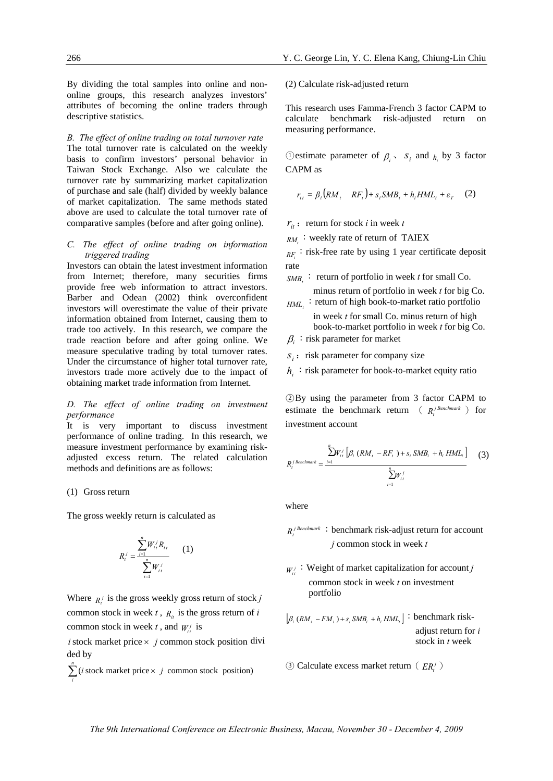By dividing the total samples into online and nononline groups, this research analyzes investors' attributes of becoming the online traders through descriptive statistics.

*B. The effect of online trading on total turnover rate*  The total turnover rate is calculated on the weekly basis to confirm investors' personal behavior in Taiwan Stock Exchange. Also we calculate the turnover rate by summarizing market capitalization of purchase and sale (half) divided by weekly balance of market capitalization. The same methods stated above are used to calculate the total turnover rate of comparative samples (before and after going online).

#### *C. The effect of online trading on information triggered trading*

Investors can obtain the latest investment information from Internet; therefore, many securities firms provide free web information to attract investors. Barber and Odean (2002) think overconfident investors will overestimate the value of their private information obtained from Internet, causing them to trade too actively. In this research, we compare the trade reaction before and after going online. We measure speculative trading by total turnover rates. Under the circumstance of higher total turnover rate, investors trade more actively due to the impact of obtaining market trade information from Internet.

#### *D. The effect of online trading on investment performance*

It is very important to discuss investment performance of online trading. In this research, we measure investment performance by examining riskadjusted excess return. The related calculation methods and definitions are as follows:

#### (1) Gross return

The gross weekly return is calculated as

$$
R_t^j = \frac{\sum_{i=1}^n W_{ii}^j R_{it}}{\sum_{i=1}^n W_{it}^j}
$$
 (1)

Where  $R_i^j$  is the gross weekly gross return of stock *j* common stock in week  $t$ ,  $R_i$  is the gross return of *i* common stock in week *t*, and  $W_i^j$  is

 $i$  stock market price  $\times$   $j$  common stock position divi ded by

 $\sum_{n=1}^{n}$  (*i* stock market price  $\times$ *i*  $(i$  stock market price  $\times$  *j* common stock position) (2) Calculate risk-adjusted return

This research uses Famma-French 3 factor CAPM to calculate benchmark risk-adjusted return on measuring performance.

①estimate parameter of  $β<sub>i</sub>$ ,  $S<sub>i</sub>$  and  $h<sub>i</sub>$  by 3 factor CAPM as

$$
r_{ii} = \beta_i (RM_i - RF_t) + s_i SMB_t + h_i HML_t + \varepsilon_T \quad (2)
$$

- $r_{it}$  : return for stock *i* in week *t*
- $RM_{t}$ : weekly rate of return of TAIEX

 $_{RF<sub>i</sub>}$ : risk-free rate by using 1 year certificate deposit rate

- $SMB_t$ : return of portfolio in week *t* for small Co. minus return of portfolio in week *t* for big Co.
- $_{HML_{t}}$ : return of high book-to-market ratio portfolio in week *t* for small Co. minus return of high
- book-to-market portfolio in week *t* for big Co.  $\beta$ <sub>*i*</sub> : risk parameter for market
- $s_i$ : risk parameter for company size

 $h_i$ : risk parameter for book-to-market equity ratio

○<sup>2</sup> By using the parameter from 3 factor CAPM to estimate the benchmark return  $(R_i^{j}$  *Benchmark*  $)$  for investment account

$$
R_{i}^{j\text{ }Benchmark} = \frac{\sum_{i=1}^{n} W_{i}^{j} \left[ \beta_{i} \left( RM_{i} - RF_{i} \right) + s_{i} \, SMB_{i} + h_{i} \, HML_{i} \right]}{\sum_{i=1}^{n} W_{i}^{j}}
$$
(3)

where

- $R_{\mu}^{j}$  *Benchmark* : benchmark risk-adjust return for account *j* common stock in week *t*
- $W_{it}^{j}$ : Weight of market capitalization for account *j* common stock in week *t* on investment portfolio

$$
[\beta_i (RM_i - FM_i) + s_i SMB_i + h_i HML_i] : benchmark risk-adjust return for istock in t week
$$

**3**) Calculate excess market return ( $FR<sup>j</sup>$ )

*The 9th International Conference on Electronic Business, Macau, November 30 - December 4, 2009*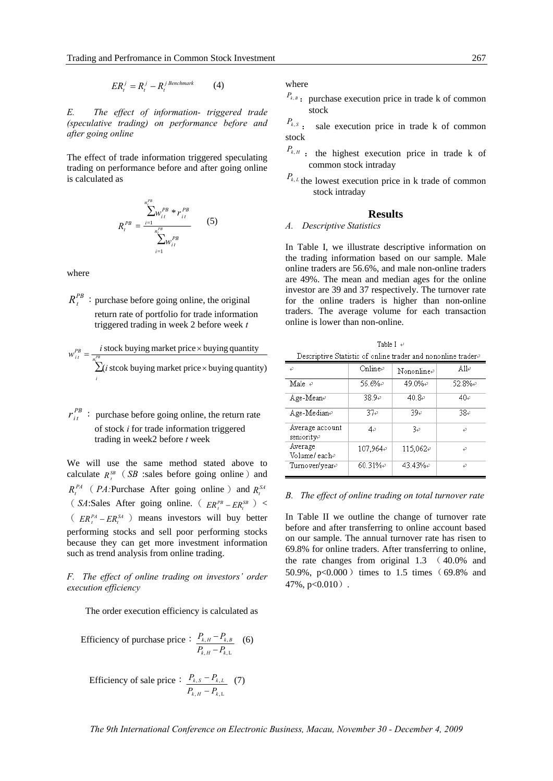*j Benchmark t j t <sup>j</sup> ERt* = *R* − *R* (4)

*E. The effect of information- triggered trade (speculative trading) on performance before and after going online* 

The effect of trade information triggered speculating trading on performance before and after going online is calculated as

$$
R_t^{PB} = \frac{\sum_{i=1}^{n_t^{PB}} w_{it}^{PB} * r_{it}^{PB}}{\sum_{i=1}^{n_t^{PB}} w_{it}^{PB}}
$$
 (5)

where

 $R_{\perp}^{PB}$  : purchase before going online, the original return rate of portfolio for trade information triggered trading in week 2 before week *t*

$$
w_{it}^{PB} = \frac{i \text{ stock buying market price} \times \text{buying quantity}}{\sum_{i}^{p_{B}} (i \text{ stock buying market price} \times \text{buying quantity})}
$$

 $r_{it}^{PB}$ : purchase before going online, the return rate of stock *i* for trade information triggered trading in week2 before *t* week

We will use the same method stated above to calculate  $R<sup>SB</sup>$  (*SB* :sales before going online) and  $R_t^{PA}$  (*PA:*Purchase After going online) and  $R_t^{SA}$ ( *SA*:Sales After going online. (  $ER_t^{PB} - ER_t^{SB}$  ) <  $\left( ER_t^{PA} - ER_t^{SA} \right)$  means investors will buy better performing stocks and sell poor performing stocks because they can get more investment information such as trend analysis from online trading.

*F. The effect of online trading on investors' order execution efficiency* 

The order execution efficiency is calculated as

Efficiency of purchase price:  $, H \quad \mathbf{A} k, L$  $, H^{-1}k,$  $k, H$   $\longrightarrow$   $k$  $k$ ,  $H$ <sup> $\sim$ </sup> $\bm{I}$  $k$ ,  $\bm{B}$  $P_{kH} - P_{k}$  $P_{kH} - P_{k}$ −  $-\frac{P_{k,B}}{(6)}$ 

Efficiency of sale price:  $, H$   $\overline{I}$   $k, L$  $, S \quad \mathbf{1}_{k}$  $k, H$   $\leftarrow$   $\mathbf{1}_k$  $k, S$   $\longrightarrow$   $k, L$  $P_{kH} - P_{k}$  $P_{k,s} - P$ −  $-\frac{P_{k,L}}{(7)}$  where

 $P_{k, B}$ : purchase execution price in trade k of common stock

 $P_{k, s}$  : sale execution price in trade k of common stock

- $P_{k,H}$  : the highest execution price in trade k of common stock intraday
- $P_{k,L}$  the lowest execution price in k trade of common stock intraday

#### **Results**

#### *A. Descriptive Statistics*

In Table I, we illustrate descriptive information on the trading information based on our sample. Male online traders are 56.6%, and male non-online traders are 49%. The mean and median ages for the online investor are 39 and 37 respectively. The turnover rate for the online traders is higher than non-online traders. The average volume for each transaction online is lower than non-online.

Table I  $\rightarrow$ Descriptive Statistic of online trader and nononline trader#

| 47                            | Onlinee     | Nononlinee | A11e   |
|-------------------------------|-------------|------------|--------|
| Male $\in$                    | 56.6%₽      | 49.0%e     | 52.8%₽ |
| Age-Mean⊕                     | 38.9₽       | 40.8e      | 40₽    |
| Age-Mediane                   | 37₽         | 39∉        | 38₽    |
| Average account<br>senioritye | 4₽          | $3\varphi$ | ₽      |
| Average<br>Volume/eache       | 107.964₽    | 115,062₽   | P      |
| Turnover/year <i>e</i>        | $60.31\%$ e | 43.43%₽    | ₽      |

*B. The effect of online trading on total turnover rate* 

In Table II we outline the change of turnover rate before and after transferring to online account based on our sample. The annual turnover rate has risen to 69.8% for online traders. After transferring to online, the rate changes from original 1.3 ( 40.0% and 50.9%,  $p<0.000$ ) times to 1.5 times (69.8% and 47%, p<0.010).

*The 9th International Conference on Electronic Business, Macau, November 30 - December 4, 2009*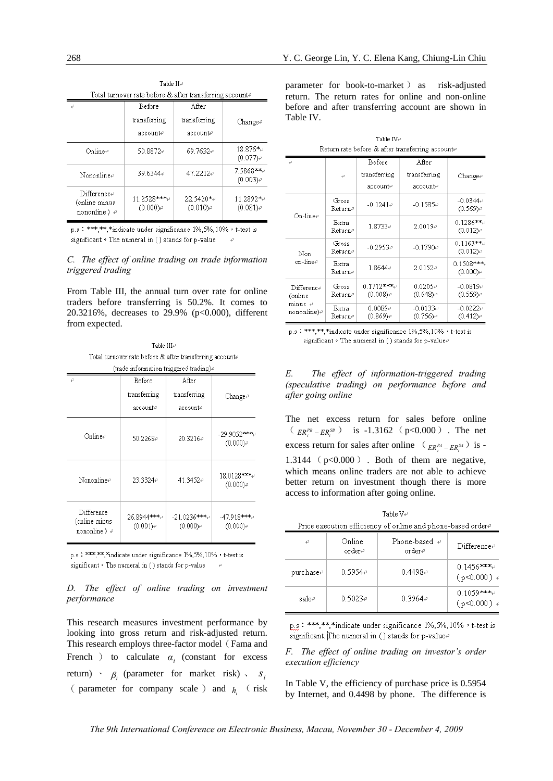| Total turnover rate before & after transferring accountet           |                            |                          |                          |  |  |
|---------------------------------------------------------------------|----------------------------|--------------------------|--------------------------|--|--|
| P                                                                   | Before                     | After                    |                          |  |  |
|                                                                     | transferring               | transferring             | Change <sub>e</sub>      |  |  |
|                                                                     | account⊬                   | account⊬                 |                          |  |  |
| Onlinee                                                             | 50.8872₽                   | 69.7632₽                 | 18.876*⊌<br>$(0.077)$ e  |  |  |
| Nononlinee                                                          | 39.6344₽                   | 47.2212e                 | 7.5868***<br>$(0.003)$ e |  |  |
| $\text{Difference}$<br>(online minus<br>nononline $\rangle \varphi$ | 11.2528****<br>$(0.000)$ e | 22.5420*+<br>$(0.010)$ e | 11.2892*↩<br>$(0.081)$ e |  |  |

Table  $H\phi$ 

p.s: \*\*\*\*,\*\*,\*indicate under significance 1%,5%,10%, t-test is significant . The numeral in ( ) stands for p-value

#### *C. The effect of online trading on trade information triggered trading*

From Table III, the annual turn over rate for online traders before transferring is 50.2%. It comes to 20.3216%, decreases to 29.9% (p<0.000), different from expected.

Table  $\text{HL}$ Total turnover rate before & after transferring accounted (trade information triggered trading).

| D                                                                                         | Before                   | After                       |                             |
|-------------------------------------------------------------------------------------------|--------------------------|-----------------------------|-----------------------------|
|                                                                                           | transferring<br>accounte | transferring<br>account⊬    | Change∉                     |
| Onlinee                                                                                   | 50.2268₽                 | 20.3216+                    | -29.9052****<br>$(0.000)$ e |
| Nononlinee                                                                                | 23.3324₽                 | 41.3452e                    | 18.0128***↓<br>$(0.000)$ e  |
| Difference<br>26.8944****↓<br>(online minus<br>$(0.001)$ e<br>nononline $\rangle \varphi$ |                          | -21.0236****<br>$(0.000)$ e | -47.918****<br>$(0.000)$ e  |

p.s: \*\*\*\*.\*\*.\*indicate under significance 1%.5%.10%, t-test is significant . The numeral in () stands for p-value

#### *D. The effect of online trading on investment performance*

This research measures investment performance by looking into gross return and risk-adjusted return. This research employs three-factor model(Fama and French ) to calculate  $\alpha_i$  (constant for excess return) ·  $\beta_i$  (parameter for market risk) ·  $S_i$ ( parameter for company scale ) and  $h_i$  ( risk

parameter for book-to-market ) as risk-adjusted return. The return rates for online and non-online before and after transferring account are shown in Table IV.

Table IV $\psi$ 

| Return rate before & after transferring accounte                    |                  |                                    |                                   |                              |
|---------------------------------------------------------------------|------------------|------------------------------------|-----------------------------------|------------------------------|
| P                                                                   | Đ                | Before<br>transferring<br>account⊬ | After<br>transferring<br>accounte | $Change+$                    |
| $On$ -line $\phi$                                                   | Gross<br>Returne | $-0.1241e$                         | $-0.1585e$                        | $-0.0344 \nu$<br>$(0.569)$ e |
|                                                                     | Extra<br>Returne | 1.8733₽                            | $2.0019 +$                        | $0.1286***$<br>$(0.012)$ e   |
| Non<br>on-linee                                                     | Gross<br>Returne | $-0.2953e$                         | $-0.1790e$                        | $0.1163***$<br>$(0.012)$ e   |
|                                                                     | Extra<br>Returne | 1.8644e                            | $2.0152 +$                        | $0.1508***$<br>$(0.000)$ e   |
| $\text{Difference}$<br>(online<br>$minus \leftarrow$<br>nononline)e | Gross<br>Returne | $0.1712***$<br>$(0.008)$ e         | $0.0205 +$<br>$(0.648)$ e         | $-0.0819 +$<br>$(0.559)$ e   |
|                                                                     | Extra<br>Returne | $0.0089 +$<br>$(0.869)$ e          | $-0.0133 +$<br>$(0.756)$ e        | $-0.0222 +$<br>$(0.412)$ e   |

p.s: \*\*\*,\*\*,\*indicate under significance 1%,5%,10%, t-test is significant  $\circ$  The numeral in ( ) stands for p-value $\circ$ 

| E. |                    |  | The effect of information-triggered trading     |  |
|----|--------------------|--|-------------------------------------------------|--|
|    |                    |  | (speculative trading) on performance before and |  |
|    | after going online |  |                                                 |  |

The net excess return for sales before online  $(E_{R_t^{PB}} - ER_t^{SB})$  is -1.3162 (p<0.000). The net excess return for sales after online  $\left( E R_t^{p_A} - E R_t^{s_A} \right)$  is -1.3144 ( $p<0.000$ ). Both of them are negative, which means online traders are not able to achieve better return on investment though there is more access to information after going online.

Table  $V \rightarrow$ Price execution efficiency of online and phone-based ordere

| ₽         | Online<br>order∉ | Phone-based $\leftrightarrow$<br>order∉ | Differencee                   |
|-----------|------------------|-----------------------------------------|-------------------------------|
| purchase₽ | 0.5954e          | 0.4498e                                 | $0.1456***$<br>$(p<0.000)$ +  |
| sale∉     | 0.5023e          | $0.3964 \div$                           | $0.1059***+$<br>$(p<0.000)$ + |

p.s: \*\*\*\*,\*\*\*,\*indicate under significance 1%,5%,10%, t-test is significant. The numeral in ( ) stands for p-value  $\theta$ 

*F. The effect of online trading on investor's order execution efficiency* 

In Table V, the efficiency of purchase price is 0.5954 by Internet, and 0.4498 by phone. The difference is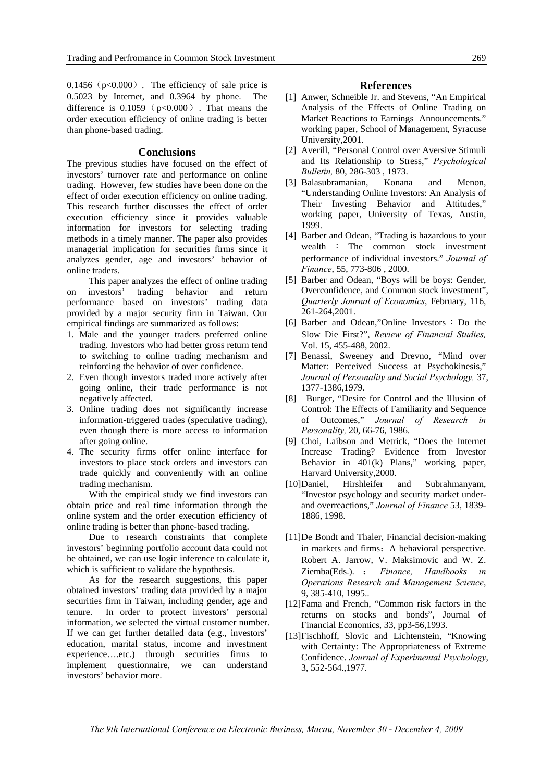$0.1456$  ( $p<0.000$ ). The efficiency of sale price is 0.5023 by Internet, and 0.3964 by phone. The difference is  $0.1059$  ( $p<0.000$ ). That means the order execution efficiency of online trading is better than phone-based trading.

#### **Conclusions**

The previous studies have focused on the effect of investors' turnover rate and performance on online trading. However, few studies have been done on the effect of order execution efficiency on online trading. This research further discusses the effect of order execution efficiency since it provides valuable information for investors for selecting trading methods in a timely manner. The paper also provides managerial implication for securities firms since it analyzes gender, age and investors' behavior of online traders.

This paper analyzes the effect of online trading on investors' trading behavior and return performance based on investors' trading data provided by a major security firm in Taiwan. Our empirical findings are summarized as follows:

- 1. Male and the younger traders preferred online trading. Investors who had better gross return tend to switching to online trading mechanism and reinforcing the behavior of over confidence.
- 2. Even though investors traded more actively after going online, their trade performance is not negatively affected.
- 3. Online trading does not significantly increase information-triggered trades (speculative trading), even though there is more access to information after going online.
- 4. The security firms offer online interface for investors to place stock orders and investors can trade quickly and conveniently with an online trading mechanism.

With the empirical study we find investors can obtain price and real time information through the online system and the order execution efficiency of online trading is better than phone-based trading.

Due to research constraints that complete investors' beginning portfolio account data could not be obtained, we can use logic inference to calculate it, which is sufficient to validate the hypothesis.

As for the research suggestions, this paper obtained investors' trading data provided by a major securities firm in Taiwan, including gender, age and tenure. In order to protect investors' personal information, we selected the virtual customer number. If we can get further detailed data (e.g., investors' education, marital status, income and investment experience….etc.) through securities firms to implement questionnaire, we can understand investors' behavior more.

#### **References**

- [1] Anwer, Schneible Jr. and Stevens, "An Empirical Analysis of the Effects of Online Trading on Market Reactions to Earnings Announcements." working paper, School of Management, Syracuse University,2001.
- [2] Averill, "Personal Control over Aversive Stimuli and Its Relationship to Stress," *Psychological Bulletin,* 80, 286-303 , 1973.
- [3] Balasubramanian, Konana and Menon, "Understanding Online Investors: An Analysis of Their Investing Behavior and Attitudes," working paper, University of Texas, Austin, 1999.
- [4] Barber and Odean, "Trading is hazardous to your wealth : The common stock investment performance of individual investors." *Journal of Finance*, 55, 773-806 , 2000.
- [5] Barber and Odean, "Boys will be boys: Gender, Overconfidence, and Common stock investment", *Quarterly Journal of Economics*, February, 116, 261-264,2001.
- [6] Barber and Odean,"Online Investors: Do the Slow Die First?", *Review of Financial Studies,*  Vol. 15, 455-488, 2002.
- [7] Benassi, Sweeney and Drevno, "Mind over Matter: Perceived Success at Psychokinesis," *Journal of Personality and Social Psychology,* 37, 1377-1386,1979.
- [8] Burger, "Desire for Control and the Illusion of Control: The Effects of Familiarity and Sequence of Outcomes," *Journal of Research in Personality,* 20, 66-76, 1986.
- [9] Choi, Laibson and Metrick, "Does the Internet Increase Trading? Evidence from Investor Behavior in 401(k) Plans," working paper, Harvard University,2000.
- [10] Daniel, Hirshleifer and Subrahmanyam, "Investor psychology and security market underand overreactions," *Journal of Finance* 53, 1839- 1886, 1998.
- [11] De Bondt and Thaler, Financial decision-making in markets and firms: A behavioral perspective. Robert A. Jarrow, V. Maksimovic and W. Z. Ziemba(Eds.). : *Finance, Handbooks in Operations Research and Management Science*, 9, 385-410, 1995..
- [12] Fama and French, "Common risk factors in the returns on stocks and bonds", Journal of Financial Economics, 33, pp3-56,1993.
- [13] Fischhoff, Slovic and Lichtenstein, "Knowing with Certainty: The Appropriateness of Extreme Confidence. *Journal of Experimental Psychology*, 3, 552-564.,1977.